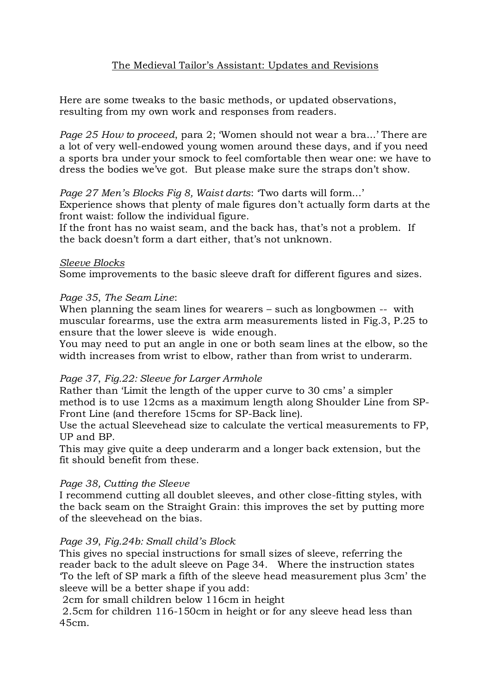# The Medieval Tailor's Assistant: Updates and Revisions

Here are some tweaks to the basic methods, or updated observations, resulting from my own work and responses from readers.

*Page 25 How to proceed*, para 2; 'Women should not wear a bra...' There are a lot of very well-endowed young women around these days, and if you need a sports bra under your smock to feel comfortable then wear one: we have to dress the bodies we've got. But please make sure the straps don't show.

### *Page 27 Men's Blocks Fig 8, Waist darts*: 'Two darts will form...'

Experience shows that plenty of male figures don't actually form darts at the front waist: follow the individual figure.

If the front has no waist seam, and the back has, that's not a problem. If the back doesn't form a dart either, that's not unknown.

#### *Sleeve Blocks*

Some improvements to the basic sleeve draft for different figures and sizes.

### *Page 35*, *The Seam Line*:

When planning the seam lines for wearers – such as longbowmen -- with muscular forearms, use the extra arm measurements listed in Fig.3, P.25 to ensure that the lower sleeve is wide enough.

You may need to put an angle in one or both seam lines at the elbow, so the width increases from wrist to elbow, rather than from wrist to underarm.

## *Page 37*, *Fig.22: Sleeve for Larger Armhole*

Rather than 'Limit the length of the upper curve to 30 cms' a simpler method is to use 12cms as a maximum length along Shoulder Line from SP-Front Line (and therefore 15cms for SP-Back line).

Use the actual Sleevehead size to calculate the vertical measurements to FP, UP and BP.

This may give quite a deep underarm and a longer back extension, but the fit should benefit from these.

#### *Page 38, Cutting the Sleeve*

I recommend cutting all doublet sleeves, and other close-fitting styles, with the back seam on the Straight Grain: this improves the set by putting more of the sleevehead on the bias.

## *Page 39*, *Fig.24b: Small child's Block*

This gives no special instructions for small sizes of sleeve, referring the reader back to the adult sleeve on Page 34. Where the instruction states 'To the left of SP mark a fifth of the sleeve head measurement plus 3cm' the sleeve will be a better shape if you add:

2cm for small children below 116cm in height

2.5cm for children 116-150cm in height or for any sleeve head less than 45cm.